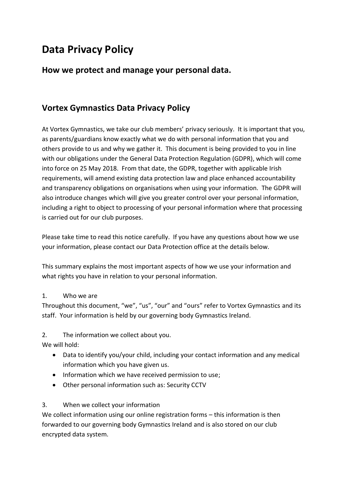# **Data Privacy Policy**

### **How we protect and manage your personal data.**

## **Vortex Gymnastics Data Privacy Policy**

At Vortex Gymnastics, we take our club members' privacy seriously. It is important that you, as parents/guardians know exactly what we do with personal information that you and others provide to us and why we gather it. This document is being provided to you in line with our obligations under the General Data Protection Regulation (GDPR), which will come into force on 25 May 2018. From that date, the GDPR, together with applicable Irish requirements, will amend existing data protection law and place enhanced accountability and transparency obligations on organisations when using your information. The GDPR will also introduce changes which will give you greater control over your personal information, including a right to object to processing of your personal information where that processing is carried out for our club purposes.

Please take time to read this notice carefully. If you have any questions about how we use your information, please contact our Data Protection office at the details below.

This summary explains the most important aspects of how we use your information and what rights you have in relation to your personal information.

#### 1. Who we are

Throughout this document, "we", "us", "our" and "ours" refer to Vortex Gymnastics and its staff. Your information is held by our governing body Gymnastics Ireland.

#### 2. The information we collect about you.

We will hold:

- Data to identify you/your child, including your contact information and any medical information which you have given us.
- Information which we have received permission to use;
- Other personal information such as: Security CCTV

#### 3. When we collect your information

We collect information using our online registration forms – this information is then forwarded to our governing body Gymnastics Ireland and is also stored on our club encrypted data system.